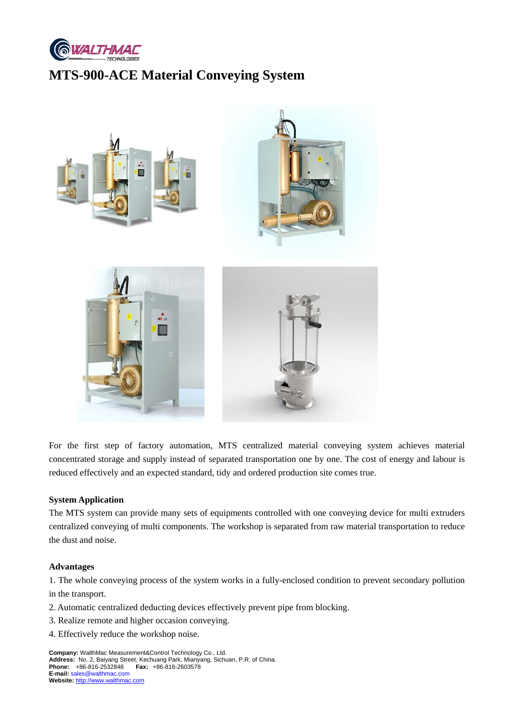

# **MTS-900-ACE Material Conveying System**



For the first step of factory automation, MTS centralized material conveying system achieves material concentrated storage and supply instead of separated transportation one by one. The cost of energy and labour is reduced effectively and an expected standard, tidy and ordered production site comes true.

### **System Application**

The MTS system can provide many sets of equipments controlled with one conveying device for multi extruders centralized conveying of multi components. The workshop is separated from raw material transportation to reduce the dust and noise.

#### **Advantages**

1. The whole conveying process of the system works in a fully-enclosed condition to prevent secondary pollution in the transport.

- 2. Automatic centralized deducting devices effectively prevent pipe from blocking.
- 3. Realize remote and higher occasion conveying.
- 4. Effectively reduce the workshop noise.

**Company:** WalthMac Measurement&Control Technology Co., Ltd. **Address:** No. 2, Baiyang Street, Kechuang Park, Mianyang, Sichuan, P.R. of China. **Phone:** +86-816-2532848 **Fax:** +86-816-2603578 **E-mail:** sales@walthmac.com **Website:** http://www.walthmac.com